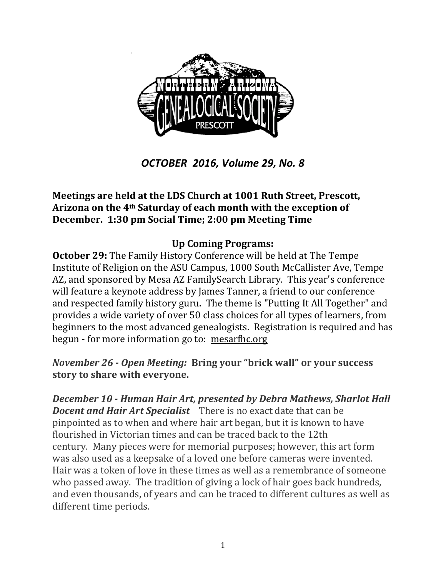

*OCTOBER 2016, Volume 29, No. 8*

#### **Meetings are held at the LDS Church at 1001 Ruth Street, Prescott, Arizona on the 4th Saturday of each month with the exception of December. 1:30 pm Social Time; 2:00 pm Meeting Time**

#### **Up Coming Programs:**

**October 29:** The Family History Conference will be held at The Tempe Institute of Religion on the ASU Campus, 1000 South McCallister Ave, Tempe AZ, and sponsored by Mesa AZ FamilySearch Library. This year's conference will feature a keynote address by James Tanner, a friend to our conference and respected family history guru. The theme is "Putting It All Together" and provides a wide variety of over 50 class choices for all types of learners, from beginners to the most advanced genealogists. Registration is required and has begun - for more information go to: [mesarfhc.org](http://www.mesarfhc.org/)

*November 26 - Open Meeting:* **Bring your "brick wall" or your success story to share with everyone.** 

*December 10 - Human Hair Art, presented by Debra Mathews, Sharlot Hall Docent and Hair Art Specialist* There is no exact date that can be pinpointed as to when and where hair art began, but it is known to have flourished in Victorian times and can be traced back to the 12th century. Many pieces were for memorial purposes; however, this art form was also used as a keepsake of a loved one before cameras were invented. Hair was a token of love in these times as well as a remembrance of someone who passed away. The tradition of giving a lock of hair goes back hundreds, and even thousands, of years and can be traced to different cultures as well as different time periods.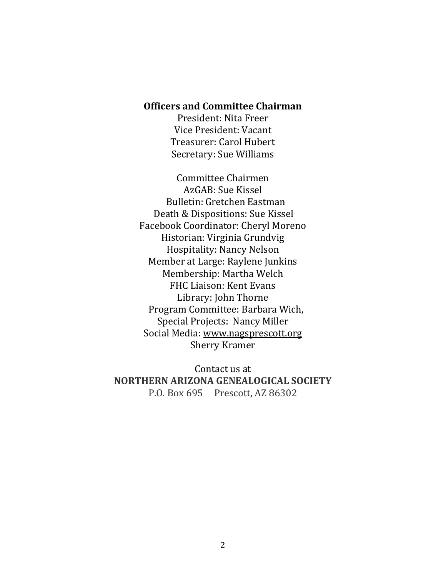#### **Officers and Committee Chairman**

President: Nita Freer Vice President: Vacant Treasurer: Carol Hubert Secretary: Sue Williams

Committee Chairmen AzGAB: Sue Kissel Bulletin: Gretchen Eastman Death & Dispositions: Sue Kissel Facebook Coordinator: Cheryl Moreno Historian: Virginia Grundvig Hospitality: Nancy Nelson Member at Large: Raylene Junkins Membership: Martha Welch FHC Liaison: Kent Evans Library: John Thorne Program Committee: Barbara Wich, Special Projects: Nancy Miller Social Media: [www.nagsprescott.org](http://www.nagsprescott.org/) Sherry Kramer

Contact us at **NORTHERN ARIZONA GENEALOGICAL SOCIETY** P.O. Box 695 Prescott, AZ 86302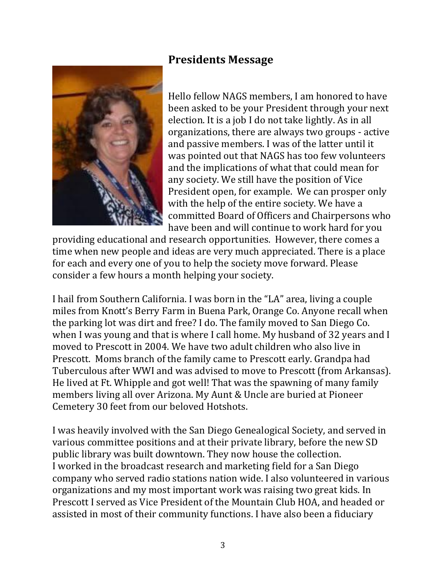# **Presidents Message**



Hello fellow NAGS members, I am honored to have been asked to be your President through your next election. It is a job I do not take lightly. As in all organizations, there are always two groups - active and passive members. I was of the latter until it was pointed out that NAGS has too few volunteers and the implications of what that could mean for any society. We still have the position of Vice President open, for example. We can prosper only with the help of the entire society. We have a committed Board of Officers and Chairpersons who have been and will continue to work hard for you

providing educational and research opportunities. However, there comes a time when new people and ideas are very much appreciated. There is a place for each and every one of you to help the society move forward. Please consider a few hours a month helping your society.

I hail from Southern California. I was born in the "LA" area, living a couple miles from Knott's Berry Farm in Buena Park, Orange Co. Anyone recall when the parking lot was dirt and free? I do. The family moved to San Diego Co. when I was young and that is where I call home. My husband of 32 years and I moved to Prescott in 2004. We have two adult children who also live in Prescott. Moms branch of the family came to Prescott early. Grandpa had Tuberculous after WWI and was advised to move to Prescott (from Arkansas). He lived at Ft. Whipple and got well! That was the spawning of many family members living all over Arizona. My Aunt & Uncle are buried at Pioneer Cemetery 30 feet from our beloved Hotshots.

I was heavily involved with the San Diego Genealogical Society, and served in various committee positions and at their private library, before the new SD public library was built downtown. They now house the collection. I worked in the broadcast research and marketing field for a San Diego company who served radio stations nation wide. I also volunteered in various organizations and my most important work was raising two great kids. In Prescott I served as Vice President of the Mountain Club HOA, and headed or assisted in most of their community functions. I have also been a fiduciary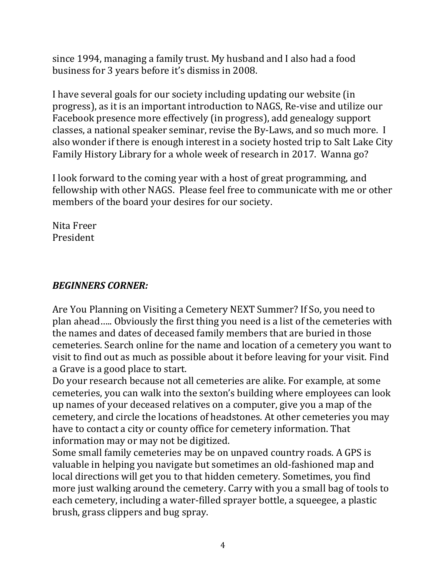since 1994, managing a family trust. My husband and I also had a food business for 3 years before it's dismiss in 2008.

I have several goals for our society including updating our website (in progress), as it is an important introduction to NAGS, Re-vise and utilize our Facebook presence more effectively (in progress), add genealogy support classes, a national speaker seminar, revise the By-Laws, and so much more. I also wonder if there is enough interest in a society hosted trip to Salt Lake City Family History Library for a whole week of research in 2017. Wanna go?

I look forward to the coming year with a host of great programming, and fellowship with other NAGS. Please feel free to communicate with me or other members of the board your desires for our society.

Nita Freer President

## *BEGINNERS CORNER:*

Are You Planning on Visiting a Cemetery NEXT Summer? If So, you need to plan ahead….. Obviously the first thing you need is a list of the cemeteries with the names and dates of deceased family members that are buried in those cemeteries. Search online for the name and location of a cemetery you want to visit to find out as much as possible about it before leaving for your visit. Find a Grave is a good place to start.

Do your research because not all cemeteries are alike. For example, at some cemeteries, you can walk into the sexton's building where employees can look up names of your deceased relatives on a computer, give you a map of the cemetery, and circle the locations of headstones. At other cemeteries you may have to contact a city or county office for cemetery information. That information may or may not be digitized.

Some small family cemeteries may be on unpaved country roads. A GPS is valuable in helping you navigate but sometimes an old-fashioned map and local directions will get you to that hidden cemetery. Sometimes, you find more just walking around the cemetery. Carry with you a small bag of tools to each cemetery, including a water-filled sprayer bottle, a squeegee, a plastic brush, grass clippers and bug spray.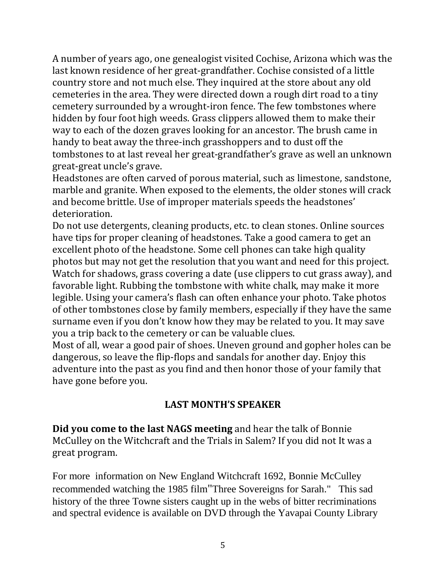A number of years ago, one genealogist visited Cochise, Arizona which was the last known residence of her great-grandfather. Cochise consisted of a little country store and not much else. They inquired at the store about any old cemeteries in the area. They were directed down a rough dirt road to a tiny cemetery surrounded by a wrought-iron fence. The few tombstones where hidden by four foot high weeds. Grass clippers allowed them to make their way to each of the dozen graves looking for an ancestor. The brush came in handy to beat away the three-inch grasshoppers and to dust off the tombstones to at last reveal her great-grandfather's grave as well an unknown great-great uncle's grave.

Headstones are often carved of porous material, such as limestone, sandstone, marble and granite. When exposed to the elements, the older stones will crack and become brittle. Use of improper materials speeds the headstones' deterioration.

Do not use detergents, cleaning products, etc. to clean stones. Online sources have tips for proper cleaning of headstones. Take a good camera to get an excellent photo of the headstone. Some cell phones can take high quality photos but may not get the resolution that you want and need for this project. Watch for shadows, grass covering a date (use clippers to cut grass away), and favorable light. Rubbing the tombstone with white chalk, may make it more legible. Using your camera's flash can often enhance your photo. Take photos of other tombstones close by family members, especially if they have the same surname even if you don't know how they may be related to you. It may save you a trip back to the cemetery or can be valuable clues.

Most of all, wear a good pair of shoes. Uneven ground and gopher holes can be dangerous, so leave the flip-flops and sandals for another day. Enjoy this adventure into the past as you find and then honor those of your family that have gone before you.

## **LAST MONTH'S SPEAKER**

**Did you come to the last NAGS meeting** and hear the talk of Bonnie McCulley on the Witchcraft and the Trials in Salem? If you did not It was a great program.

For more information on New England Witchcraft 1692, Bonnie McCulley recommended watching the 1985 film"Three Sovereigns for Sarah." This sad history of the three Towne sisters caught up in the webs of bitter recriminations and spectral evidence is available on DVD through the Yavapai County Library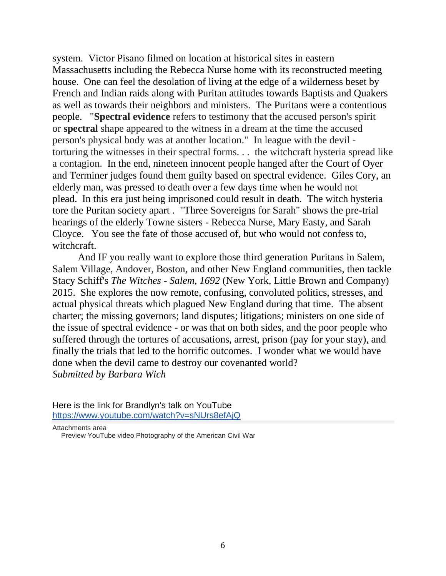system. Victor Pisano filmed on location at historical sites in eastern Massachusetts including the Rebecca Nurse home with its reconstructed meeting house. One can feel the desolation of living at the edge of a wilderness beset by French and Indian raids along with Puritan attitudes towards Baptists and Quakers as well as towards their neighbors and ministers. The Puritans were a contentious people. "**Spectral evidence** refers to testimony that the accused person's spirit or **spectral** shape appeared to the witness in a dream at the time the accused person's physical body was at another location." In league with the devil torturing the witnesses in their spectral forms. . . the witchcraft hysteria spread like a contagion. In the end, nineteen innocent people hanged after the Court of Oyer and Terminer judges found them guilty based on spectral evidence. Giles Cory, an elderly man, was pressed to death over a few days time when he would not plead. In this era just being imprisoned could result in death. The witch hysteria tore the Puritan society apart . "Three Sovereigns for Sarah" shows the pre-trial hearings of the elderly Towne sisters - Rebecca Nurse, Mary Easty, and Sarah Cloyce. You see the fate of those accused of, but who would not confess to, witchcraft.

And IF you really want to explore those third generation Puritans in Salem, Salem Village, Andover, Boston, and other New England communities, then tackle Stacy Schiff's *The Witches - Salem, 1692* (New York, Little Brown and Company) 2015. She explores the now remote, confusing, convoluted politics, stresses, and actual physical threats which plagued New England during that time. The absent charter; the missing governors; land disputes; litigations; ministers on one side of the issue of spectral evidence - or was that on both sides, and the poor people who suffered through the tortures of accusations, arrest, prison (pay for your stay), and finally the trials that led to the horrific outcomes. I wonder what we would have done when the devil came to destroy our covenanted world? *Submitted by Barbara Wich*

Here is the link for Brandlyn's talk on YouTube <https://www.youtube.com/watch?v=sNUrs8efAjQ>

Attachments area [Preview YouTube video Photography of the American Civil War](https://www.youtube.com/watch?v=sNUrs8efAjQ&authuser=0)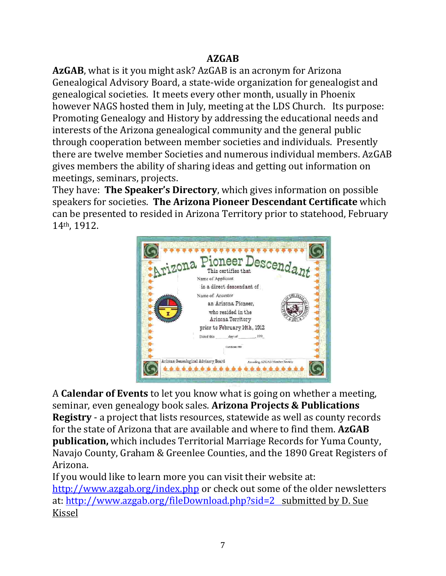# **AZGAB**

**AzGAB**, what is it you might ask? AzGAB is an acronym for Arizona Genealogical Advisory Board, a state-wide organization for genealogist and genealogical societies. It meets every other month, usually in Phoenix however NAGS hosted them in July, meeting at the LDS Church. Its purpose: Promoting Genealogy and History by addressing the educational needs and interests of the Arizona genealogical community and the general public through cooperation between member societies and individuals. Presently there are twelve member Societies and numerous individual members. AzGAB gives members the ability of sharing ideas and getting out information on meetings, seminars, projects.

They have: **The Speaker's Directory**, which gives information on possible speakers for societies. **The Arizona Pioneer Descendant Certificate** which can be presented to resided in Arizona Territory prior to statehood, February 14th, 1912.



A **Calendar of Events** to let you know what is going on whether a meeting, seminar, even genealogy book sales. **Arizona Projects & Publications Registry** - a project that lists resources, statewide as well as county records for the state of Arizona that are available and where to find them. **AzGAB publication,** which includes Territorial Marriage Records for Yuma County, Navajo County, Graham & Greenlee Counties, and the 1890 Great Registers of Arizona.

If you would like to learn more you can visit their website at: <http://www.azgab.org/index.php> or check out some of the older newsletters at:<http://www.azgab.org/fileDownload.php?sid=2>submitted by D. Sue Kissel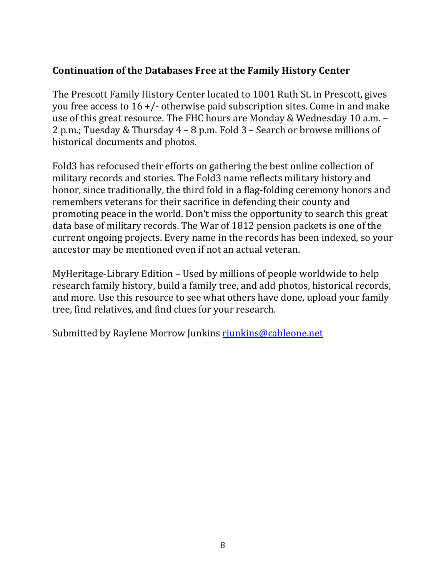## **Continuation of the Databases Free at the Family History Center**

The Prescott Family History Center located to 1001 Ruth St. in Prescott, gives you free access to 16 +/- otherwise paid subscription sites. Come in and make use of this great resource. The FHC hours are Monday & Wednesday 10 a.m. – 2 p.m.; Tuesday & Thursday 4 – 8 p.m. Fold 3 – Search or browse millions of historical documents and photos.

Fold3 has refocused their efforts on gathering the best online collection of military records and stories. The Fold3 name reflects military history and honor, since traditionally, the third fold in a flag-folding ceremony honors and remembers veterans for their sacrifice in defending their county and promoting peace in the world. Don't miss the opportunity to search this great data base of military records. The War of 1812 pension packets is one of the current ongoing projects. Every name in the records has been indexed, so your ancestor may be mentioned even if not an actual veteran.

MyHeritage-Library Edition – Used by millions of people worldwide to help research family history, build a family tree, and add photos, historical records, and more. Use this resource to see what others have done, upload your family tree, find relatives, and find clues for your research.

Submitted by Raylene Morrow Junkins riunkins@cableone.net